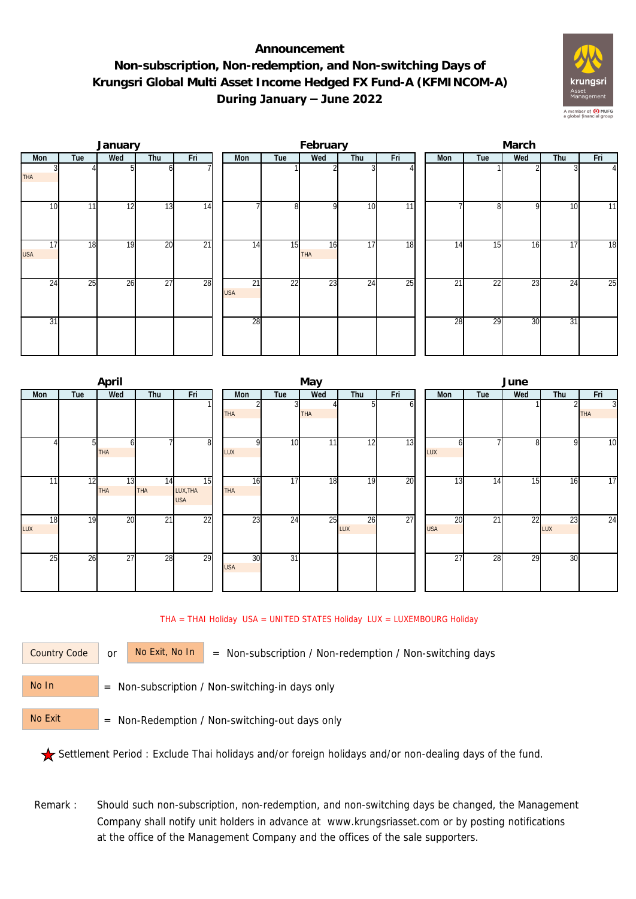## **Announcement Non-subscription, Non-redemption, and Non-switching Days of Krungsri Global Multi Asset Income Hedged FX Fund-A (KFMINCOM-A) During January – June 2022**



|                  |     | January |                 |                 |  |                               | February        |                 |     | March |                 |                 |     |                 |                |  |
|------------------|-----|---------|-----------------|-----------------|--|-------------------------------|-----------------|-----------------|-----|-------|-----------------|-----------------|-----|-----------------|----------------|--|
| Mon              | Tue | Wed     | Thu             | Fri             |  | Mon                           | Tue             | Wed             | Thu | Fri   | Mon             | Tue             | Wed | Thu             | Fri            |  |
| <b>THA</b>       |     |         |                 |                 |  |                               |                 |                 |     |       |                 |                 |     |                 | $\overline{4}$ |  |
| 10               | 11  | 12      | 13              | 14              |  |                               | 8 <sup>l</sup>  | O               | 10  | 11    |                 | $\Omega$<br>õl  | 9   | 10              | 11             |  |
| 17<br><b>USA</b> | 18  | 19      | 20              | $\overline{21}$ |  | 14                            | 15              | 16<br>THA       | 17  | 18    | 14              | 15              | 16  | $1\overline{7}$ | 18             |  |
| 24               | 25  | 26      | $\overline{27}$ | 28              |  | $\overline{21}$<br><b>USA</b> | $\overline{22}$ | $2\overline{3}$ | 24  | 25    | $\overline{21}$ | $\overline{22}$ | 23  | $2\overline{4}$ | 25             |  |
| 31               |     |         |                 |                 |  | 28                            |                 |                 |     |       | 28              | 29              | 30  | 31              |                |  |

|           |                | April                  |                  |                              |                  |                 | May        |           |     | June             |     |                 |              |                 |  |  |
|-----------|----------------|------------------------|------------------|------------------------------|------------------|-----------------|------------|-----------|-----|------------------|-----|-----------------|--------------|-----------------|--|--|
| Mon       | Tue            | Wed                    | Thu              | Fri                          | Mon              | Tue             | Wed        | Thu       | Fri | Mon              | Tue | Wed             | Thu          | Fri             |  |  |
|           |                |                        |                  |                              | THA              | 31              | <b>THA</b> | 51        | οı  |                  |     |                 |              | 3<br><b>THA</b> |  |  |
|           | 5 <sub>l</sub> | h<br><b>THA</b>        |                  | 8                            | LUX              | 10              | 11         | 12        | 13  | n<br>LUX         |     | 8               | $\mathsf{Q}$ | $\overline{10}$ |  |  |
| 11        | 12             | $\overline{13}$<br>THA | 14<br><b>THA</b> | 15<br>LUX, THA<br><b>USA</b> | 16<br><b>THA</b> | 17              | 18         | 19        | 20  | 13               | 14  | 15              | 16           | $\overline{17}$ |  |  |
| 18<br>LUX | 19             | 20                     | $\overline{21}$  | 22                           | 23               | $2\overline{4}$ | 25         | 26<br>LUX | 27  | 20<br><b>USA</b> | 21  | $2\overline{2}$ | 23<br>LUX    | $\overline{24}$ |  |  |
| 25        | 26             | 27                     | 28               | 29                           | 30<br><b>USA</b> | $\overline{31}$ |            |           |     | 27               | 28  | 29              | 30           |                 |  |  |

THA = THAI Holiday USA = UNITED STATES Holiday LUX = LUXEMBOURG Holiday

Country Code

or  $\overline{\phantom{a}}$  No Exit, No In  $\overline{\phantom{a}}$  = Non-subscription / Non-redemption / Non-switching days

 = Non-subscription / Non-switching-in days only No In

 = Non-Redemption / Non-switching-out days only No Exit

Settlement Period : Exclude Thai holidays and/or foreign holidays and/or non-dealing days of the fund.

Remark : Should such non-subscription, non-redemption, and non-switching days be changed, the Management Company shall notify unit holders in advance at www.krungsriasset.com or by posting notifications at the office of the Management Company and the offices of the sale supporters.